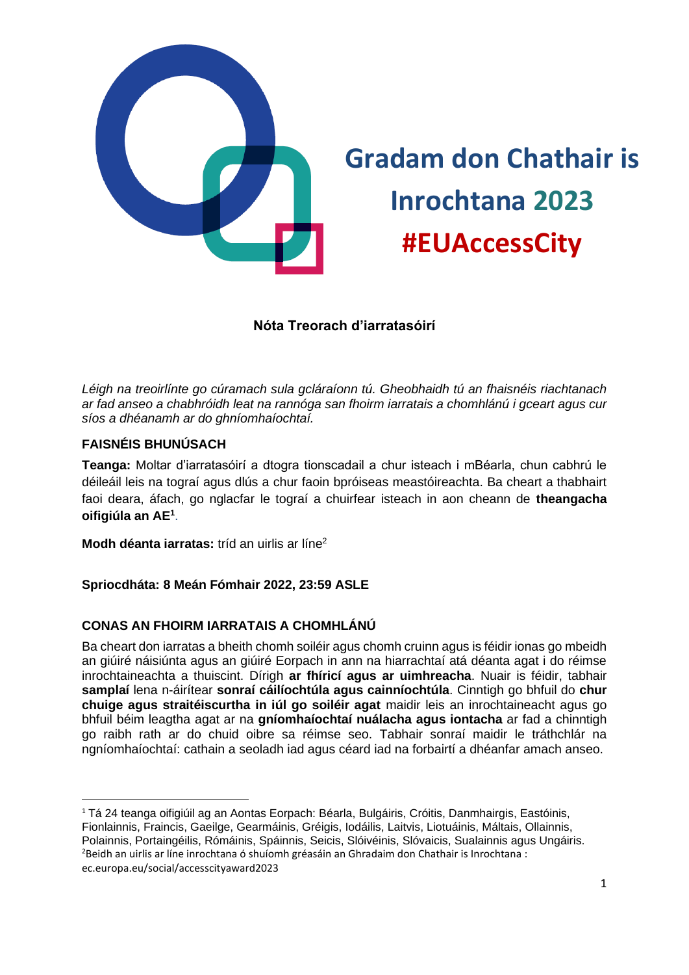

# **Gradam don Chathair is Inrochtana 2023 #EUAccessCity**

# **Nóta Treorach d'iarratasóirí**

*Léigh na treoirlínte go cúramach sula gcláraíonn tú. Gheobhaidh tú an fhaisnéis riachtanach ar fad anseo a chabhróidh leat na rannóga san fhoirm iarratais a chomhlánú i gceart agus cur síos a dhéanamh ar do ghníomhaíochtaí.* 

## **FAISNÉIS BHUNÚSACH**

**Teanga:** Moltar d'iarratasóirí a dtogra tionscadail a chur isteach i mBéarla, chun cabhrú le déileáil leis na tograí agus dlús a chur faoin bpróiseas meastóireachta. Ba cheart a thabhairt faoi deara, áfach, go nglacfar le tograí a chuirfear isteach in aon cheann de **theangacha oifigiúla an AE<sup>1</sup>** .

**Modh déanta iarratas:** tríd an uirlis ar líne<sup>2</sup>

**Spriocdháta: 8 Meán Fómhair 2022, 23:59 ASLE**

## **CONAS AN FHOIRM IARRATAIS A CHOMHLÁNÚ**

Ba cheart don iarratas a bheith chomh soiléir agus chomh cruinn agus is féidir ionas go mbeidh an giúiré náisiúnta agus an giúiré Eorpach in ann na hiarrachtaí atá déanta agat i do réimse inrochtaineachta a thuiscint. Dírigh **ar fhíricí agus ar uimhreacha**. Nuair is féidir, tabhair **samplaí** lena n-áirítear **sonraí cáilíochtúla agus cainníochtúla**. Cinntigh go bhfuil do **chur chuige agus straitéiscurtha in iúl go soiléir agat** maidir leis an inrochtaineacht agus go bhfuil béim leagtha agat ar na **gníomhaíochtaí nuálacha agus iontacha** ar fad a chinntigh go raibh rath ar do chuid oibre sa réimse seo. Tabhair sonraí maidir le tráthchlár na ngníomhaíochtaí: cathain a seoladh iad agus céard iad na forbairtí a dhéanfar amach anseo.

<sup>1</sup> Tá 24 teanga oifigiúil ag an Aontas Eorpach: Béarla, Bulgáiris, Cróitis, Danmhairgis, Eastóinis, Fionlainnis, Fraincis, Gaeilge, Gearmáinis, Gréigis, Iodáilis, Laitvis, Liotuáinis, Máltais, Ollainnis, Polainnis, Portaingéilis, Rómáinis, Spáinnis, Seicis, Slóivéinis, Slóvaicis, Sualainnis agus Ungáiris. <sup>2</sup>Beidh an uirlis ar líne inrochtana ó shuíomh gréasáin an Ghradaim don Chathair is Inrochtana : ec.europa.eu/social/accesscityaward2023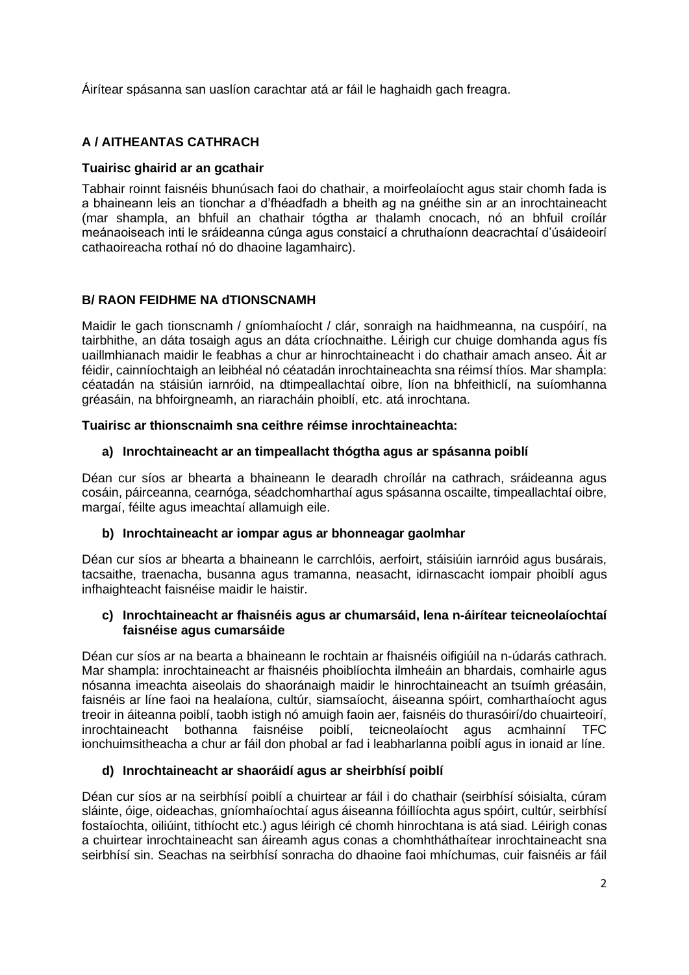Áirítear spásanna san uaslíon carachtar atá ar fáil le haghaidh gach freagra.

## **A / AITHEANTAS CATHRACH**

## **Tuairisc ghairid ar an gcathair**

Tabhair roinnt faisnéis bhunúsach faoi do chathair, a moirfeolaíocht agus stair chomh fada is a bhaineann leis an tionchar a d'fhéadfadh a bheith ag na gnéithe sin ar an inrochtaineacht (mar shampla, an bhfuil an chathair tógtha ar thalamh cnocach, nó an bhfuil croílár meánaoiseach inti le sráideanna cúnga agus constaicí a chruthaíonn deacrachtaí d'úsáideoirí cathaoireacha rothaí nó do dhaoine lagamhairc).

## **B/ RAON FEIDHME NA dTIONSCNAMH**

Maidir le gach tionscnamh / gníomhaíocht / clár, sonraigh na haidhmeanna, na cuspóirí, na tairbhithe, an dáta tosaigh agus an dáta críochnaithe. Léirigh cur chuige domhanda agus fís uaillmhianach maidir le feabhas a chur ar hinrochtaineacht i do chathair amach anseo. Áit ar féidir, cainníochtaigh an leibhéal nó céatadán inrochtaineachta sna réimsí thíos. Mar shampla: céatadán na stáisiún iarnróid, na dtimpeallachtaí oibre, líon na bhfeithiclí, na suíomhanna gréasáin, na bhfoirgneamh, an riaracháin phoiblí, etc. atá inrochtana.

#### **Tuairisc ar thionscnaimh sna ceithre réimse inrochtaineachta:**

## **a) Inrochtaineacht ar an timpeallacht thógtha agus ar spásanna poiblí**

Déan cur síos ar bhearta a bhaineann le dearadh chroílár na cathrach, sráideanna agus cosáin, páirceanna, cearnóga, séadchomharthaí agus spásanna oscailte, timpeallachtaí oibre, margaí, féilte agus imeachtaí allamuigh eile.

#### **b) Inrochtaineacht ar iompar agus ar bhonneagar gaolmhar**

Déan cur síos ar bhearta a bhaineann le carrchlóis, aerfoirt, stáisiúin iarnróid agus busárais, tacsaithe, traenacha, busanna agus tramanna, neasacht, idirnascacht iompair phoiblí agus infhaighteacht faisnéise maidir le haistir.

#### **c) Inrochtaineacht ar fhaisnéis agus ar chumarsáid, lena n-áirítear teicneolaíochtaí faisnéise agus cumarsáide**

Déan cur síos ar na bearta a bhaineann le rochtain ar fhaisnéis oifigiúil na n-údarás cathrach. Mar shampla: inrochtaineacht ar fhaisnéis phoiblíochta ilmheáin an bhardais, comhairle agus nósanna imeachta aiseolais do shaoránaigh maidir le hinrochtaineacht an tsuímh gréasáin, faisnéis ar líne faoi na healaíona, cultúr, siamsaíocht, áiseanna spóirt, comharthaíocht agus treoir in áiteanna poiblí, taobh istigh nó amuigh faoin aer, faisnéis do thurasóirí/do chuairteoirí, inrochtaineacht bothanna faisnéise poiblí, teicneolaíocht agus acmhainní TFC teicneolaíocht agus acmhainní TFC ionchuimsitheacha a chur ar fáil don phobal ar fad i leabharlanna poiblí agus in ionaid ar líne.

#### **d) Inrochtaineacht ar shaoráidí agus ar sheirbhísí poiblí**

Déan cur síos ar na seirbhísí poiblí a chuirtear ar fáil i do chathair (seirbhísí sóisialta, cúram sláinte, óige, oideachas, gníomhaíochtaí agus áiseanna fóillíochta agus spóirt, cultúr, seirbhísí fostaíochta, oiliúint, tithíocht etc.) agus léirigh cé chomh hinrochtana is atá siad. Léirigh conas a chuirtear inrochtaineacht san áireamh agus conas a chomhtháthaítear inrochtaineacht sna seirbhísí sin. Seachas na seirbhísí sonracha do dhaoine faoi mhíchumas, cuir faisnéis ar fáil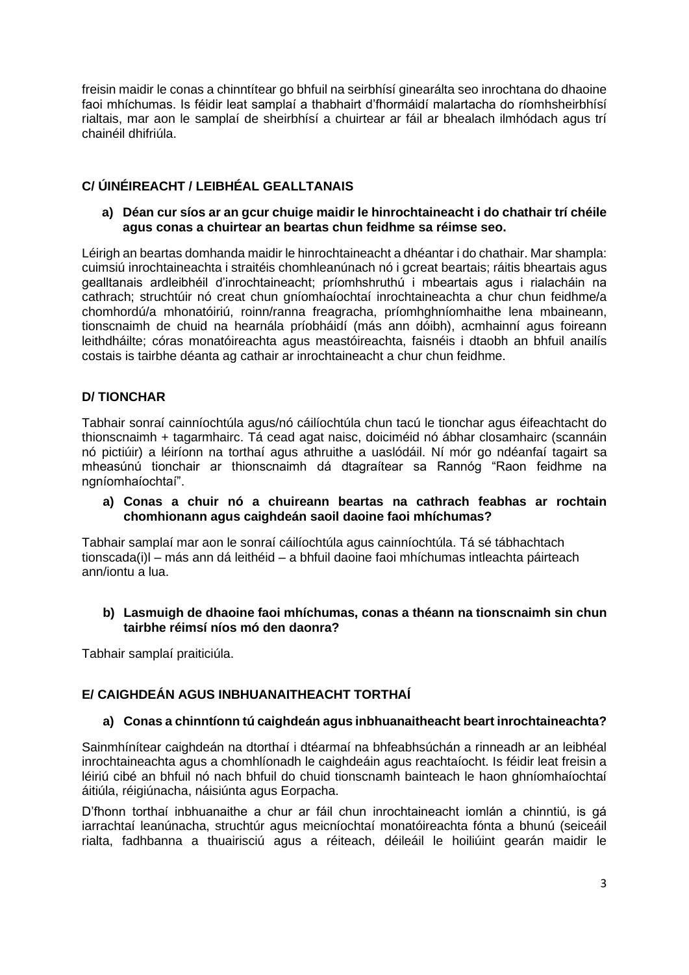freisin maidir le conas a chinntítear go bhfuil na seirbhísí ginearálta seo inrochtana do dhaoine faoi mhíchumas. Is féidir leat samplaí a thabhairt d'fhormáidí malartacha do ríomhsheirbhísí rialtais, mar aon le samplaí de sheirbhísí a chuirtear ar fáil ar bhealach ilmhódach agus trí chainéil dhifriúla.

## **C/ ÚINÉIREACHT / LEIBHÉAL GEALLTANAIS**

#### **a) Déan cur síos ar an gcur chuige maidir le hinrochtaineacht i do chathair trí chéile agus conas a chuirtear an beartas chun feidhme sa réimse seo.**

Léirigh an beartas domhanda maidir le hinrochtaineacht a dhéantar i do chathair. Mar shampla: cuimsiú inrochtaineachta i straitéis chomhleanúnach nó i gcreat beartais; ráitis bheartais agus gealltanais ardleibhéil d'inrochtaineacht; príomhshruthú i mbeartais agus i rialacháin na cathrach; struchtúir nó creat chun gníomhaíochtaí inrochtaineachta a chur chun feidhme/a chomhordú/a mhonatóiriú, roinn/ranna freagracha, príomhghníomhaithe lena mbaineann, tionscnaimh de chuid na hearnála príobháidí (más ann dóibh), acmhainní agus foireann leithdháilte; córas monatóireachta agus meastóireachta, faisnéis i dtaobh an bhfuil anailís costais is tairbhe déanta ag cathair ar inrochtaineacht a chur chun feidhme.

## **D/ TIONCHAR**

Tabhair sonraí cainníochtúla agus/nó cáilíochtúla chun tacú le tionchar agus éifeachtacht do thionscnaimh + tagarmhairc. Tá cead agat naisc, doiciméid nó ábhar closamhairc (scannáin nó pictiúir) a léiríonn na torthaí agus athruithe a uaslódáil. Ní mór go ndéanfaí tagairt sa mheasúnú tionchair ar thionscnaimh dá dtagraítear sa Rannóg "Raon feidhme na ngníomhaíochtaí".

#### **a) Conas a chuir nó a chuireann beartas na cathrach feabhas ar rochtain chomhionann agus caighdeán saoil daoine faoi mhíchumas?**

Tabhair samplaí mar aon le sonraí cáilíochtúla agus cainníochtúla. Tá sé tábhachtach tionscada(i)l – más ann dá leithéid – a bhfuil daoine faoi mhíchumas intleachta páirteach ann/iontu a lua.

#### **b) Lasmuigh de dhaoine faoi mhíchumas, conas a théann na tionscnaimh sin chun tairbhe réimsí níos mó den daonra?**

Tabhair samplaí praiticiúla.

## **E/ CAIGHDEÁN AGUS INBHUANAITHEACHT TORTHAÍ**

#### **a) Conas a chinntíonn tú caighdeán agus inbhuanaitheacht beart inrochtaineachta?**

Sainmhínítear caighdeán na dtorthaí i dtéarmaí na bhfeabhsúchán a rinneadh ar an leibhéal inrochtaineachta agus a chomhlíonadh le caighdeáin agus reachtaíocht. Is féidir leat freisin a léiriú cibé an bhfuil nó nach bhfuil do chuid tionscnamh bainteach le haon ghníomhaíochtaí áitiúla, réigiúnacha, náisiúnta agus Eorpacha.

D'fhonn torthaí inbhuanaithe a chur ar fáil chun inrochtaineacht iomlán a chinntiú, is gá iarrachtaí leanúnacha, struchtúr agus meicníochtaí monatóireachta fónta a bhunú (seiceáil rialta, fadhbanna a thuairisciú agus a réiteach, déileáil le hoiliúint gearán maidir le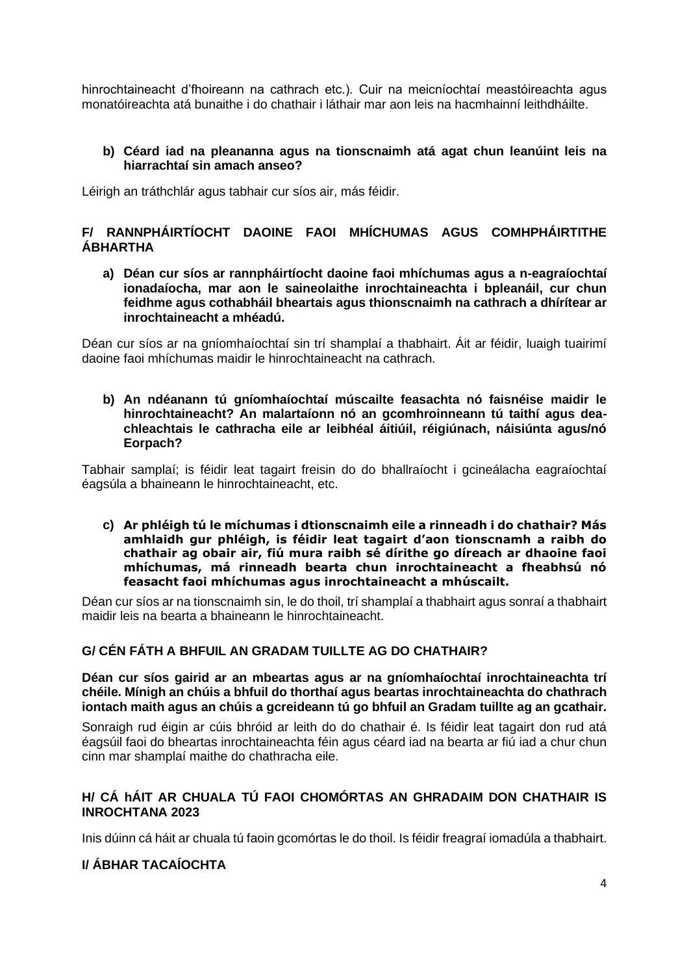hinrochtaineacht d'fhoireann na cathrach etc.). Cuir na meicníochtaí meastóireachta agus monatóireachta atá bunaithe i do chathair i láthair mar aon leis na hacmhainní leithdháilte.

#### **b) Céard iad na pleananna agus na tionscnaimh atá agat chun leanúint leis na hiarrachtaí sin amach anseo?**

Léirigh an tráthchlár agus tabhair cur síos air, más féidir.

## **F/ RANNPHÁIRTÍOCHT DAOINE FAOI MHÍCHUMAS AGUS COMHPHÁIRTITHE ÁBHARTHA**

**a) Déan cur síos ar rannpháirtíocht daoine faoi mhíchumas agus a n-eagraíochtaí ionadaíocha, mar aon le saineolaithe inrochtaineachta i bpleanáil, cur chun feidhme agus cothabháil bheartais agus thionscnaimh na cathrach a dhírítear ar inrochtaineacht a mhéadú.** 

Déan cur síos ar na gníomhaíochtaí sin trí shamplaí a thabhairt. Áit ar féidir, luaigh tuairimí daoine faoi mhíchumas maidir le hinrochtaineacht na cathrach.

**b) An ndéanann tú gníomhaíochtaí múscailte feasachta nó faisnéise maidir le hinrochtaineacht? An malartaíonn nó an gcomhroinneann tú taithí agus deachleachtais le cathracha eile ar leibhéal áitiúil, réigiúnach, náisiúnta agus/nó Eorpach?** 

Tabhair samplaí; is féidir leat tagairt freisin do do bhallraíocht i gcineálacha eagraíochtaí éagsúla a bhaineann le hinrochtaineacht, etc.

**c) Ar phléigh tú le míchumas i dtionscnaimh eile a rinneadh i do chathair? Más amhlaidh gur phléigh, is féidir leat tagairt d'aon tionscnamh a raibh do chathair ag obair air, fiú mura raibh sé dírithe go díreach ar dhaoine faoi mhíchumas, má rinneadh bearta chun inrochtaineacht a fheabhsú nó feasacht faoi mhíchumas agus inrochtaineacht a mhúscailt.**

Déan cur síos ar na tionscnaimh sin, le do thoil, trí shamplaí a thabhairt agus sonraí a thabhairt maidir leis na bearta a bhaineann le hinrochtaineacht.

#### **G/ CÉN FÁTH A BHFUIL AN GRADAM TUILLTE AG DO CHATHAIR?**

**Déan cur síos gairid ar an mbeartas agus ar na gníomhaíochtaí inrochtaineachta trí chéile. Mínigh an chúis a bhfuil do thorthaí agus beartas inrochtaineachta do chathrach iontach maith agus an chúis a gcreideann tú go bhfuil an Gradam tuillte ag an gcathair.** 

Sonraigh rud éigin ar cúis bhróid ar leith do do chathair é. Is féidir leat tagairt don rud atá éagsúil faoi do bheartas inrochtaineachta féin agus céard iad na bearta ar fiú iad a chur chun cinn mar shamplaí maithe do chathracha eile.

## **H/ CÁ hÁIT AR CHUALA TÚ FAOI CHOMÓRTAS AN GHRADAIM DON CHATHAIR IS INROCHTANA 2023**

Inis dúinn cá háit ar chuala tú faoin gcomórtas le do thoil. Is féidir freagraí iomadúla a thabhairt.

## **I/ ÁBHAR TACAÍOCHTA**